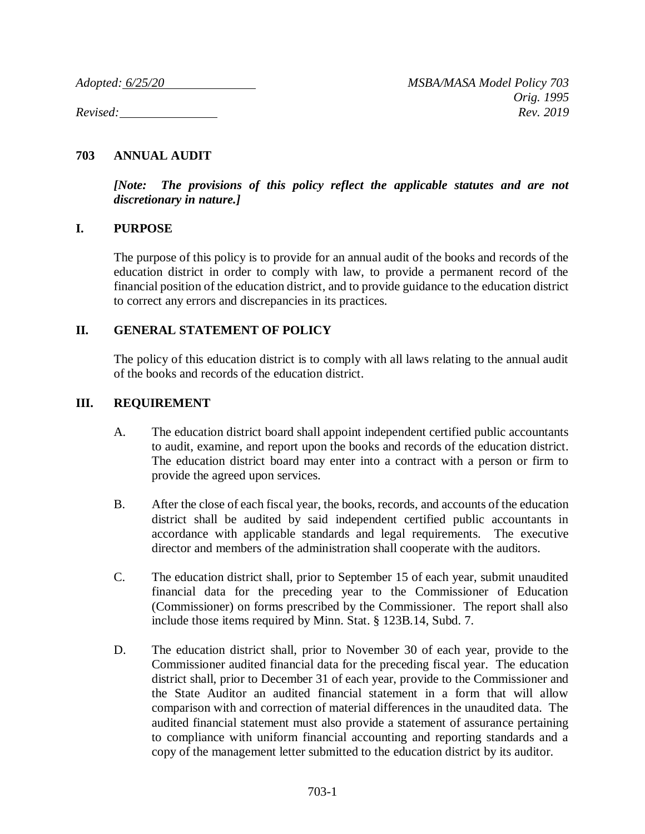## **703 ANNUAL AUDIT**

*[Note: The provisions of this policy reflect the applicable statutes and are not discretionary in nature.]*

## **I. PURPOSE**

The purpose of this policy is to provide for an annual audit of the books and records of the education district in order to comply with law, to provide a permanent record of the financial position of the education district, and to provide guidance to the education district to correct any errors and discrepancies in its practices.

## **II. GENERAL STATEMENT OF POLICY**

The policy of this education district is to comply with all laws relating to the annual audit of the books and records of the education district.

## **III. REQUIREMENT**

- A. The education district board shall appoint independent certified public accountants to audit, examine, and report upon the books and records of the education district. The education district board may enter into a contract with a person or firm to provide the agreed upon services.
- B. After the close of each fiscal year, the books, records, and accounts of the education district shall be audited by said independent certified public accountants in accordance with applicable standards and legal requirements. The executive director and members of the administration shall cooperate with the auditors.
- C. The education district shall, prior to September 15 of each year, submit unaudited financial data for the preceding year to the Commissioner of Education (Commissioner) on forms prescribed by the Commissioner. The report shall also include those items required by Minn. Stat. § 123B.14, Subd. 7.
- D. The education district shall, prior to November 30 of each year, provide to the Commissioner audited financial data for the preceding fiscal year. The education district shall, prior to December 31 of each year, provide to the Commissioner and the State Auditor an audited financial statement in a form that will allow comparison with and correction of material differences in the unaudited data. The audited financial statement must also provide a statement of assurance pertaining to compliance with uniform financial accounting and reporting standards and a copy of the management letter submitted to the education district by its auditor.